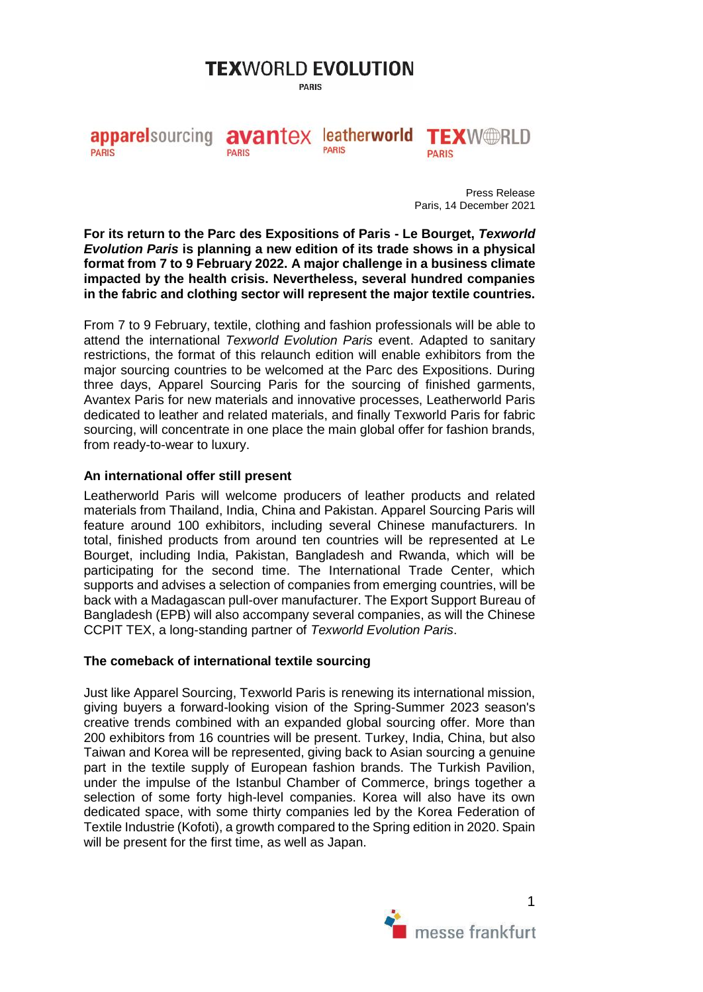# **TEXWORLD EVOLUTION**

**PARIS** 

apparelsourcing avantex leatherworld TEXW@RLD **PARIS PARIS PARIS PARIS** 

> Press Release Paris, 14 December 2021

**For its return to the Parc des Expositions of Paris - Le Bourget,** *Texworld Evolution Paris* **is planning a new edition of its trade shows in a physical format from 7 to 9 February 2022. A major challenge in a business climate impacted by the health crisis. Nevertheless, several hundred companies in the fabric and clothing sector will represent the major textile countries.**

From 7 to 9 February, textile, clothing and fashion professionals will be able to attend the international *Texworld Evolution Paris* event. Adapted to sanitary restrictions, the format of this relaunch edition will enable exhibitors from the major sourcing countries to be welcomed at the Parc des Expositions. During three days, Apparel Sourcing Paris for the sourcing of finished garments, Avantex Paris for new materials and innovative processes, Leatherworld Paris dedicated to leather and related materials, and finally Texworld Paris for fabric sourcing, will concentrate in one place the main global offer for fashion brands, from ready-to-wear to luxury.

#### **An international offer still present**

Leatherworld Paris will welcome producers of leather products and related materials from Thailand, India, China and Pakistan. Apparel Sourcing Paris will feature around 100 exhibitors, including several Chinese manufacturers. In total, finished products from around ten countries will be represented at Le Bourget, including India, Pakistan, Bangladesh and Rwanda, which will be participating for the second time. The International Trade Center, which supports and advises a selection of companies from emerging countries, will be back with a Madagascan pull-over manufacturer. The Export Support Bureau of Bangladesh (EPB) will also accompany several companies, as will the Chinese CCPIT TEX, a long-standing partner of *Texworld Evolution Paris*.

## **The comeback of international textile sourcing**

Just like Apparel Sourcing, Texworld Paris is renewing its international mission, giving buyers a forward-looking vision of the Spring-Summer 2023 season's creative trends combined with an expanded global sourcing offer. More than 200 exhibitors from 16 countries will be present. Turkey, India, China, but also Taiwan and Korea will be represented, giving back to Asian sourcing a genuine part in the textile supply of European fashion brands. The Turkish Pavilion, under the impulse of the Istanbul Chamber of Commerce, brings together a selection of some forty high-level companies. Korea will also have its own dedicated space, with some thirty companies led by the Korea Federation of Textile Industrie (Kofoti), a growth compared to the Spring edition in 2020. Spain will be present for the first time, as well as Japan.

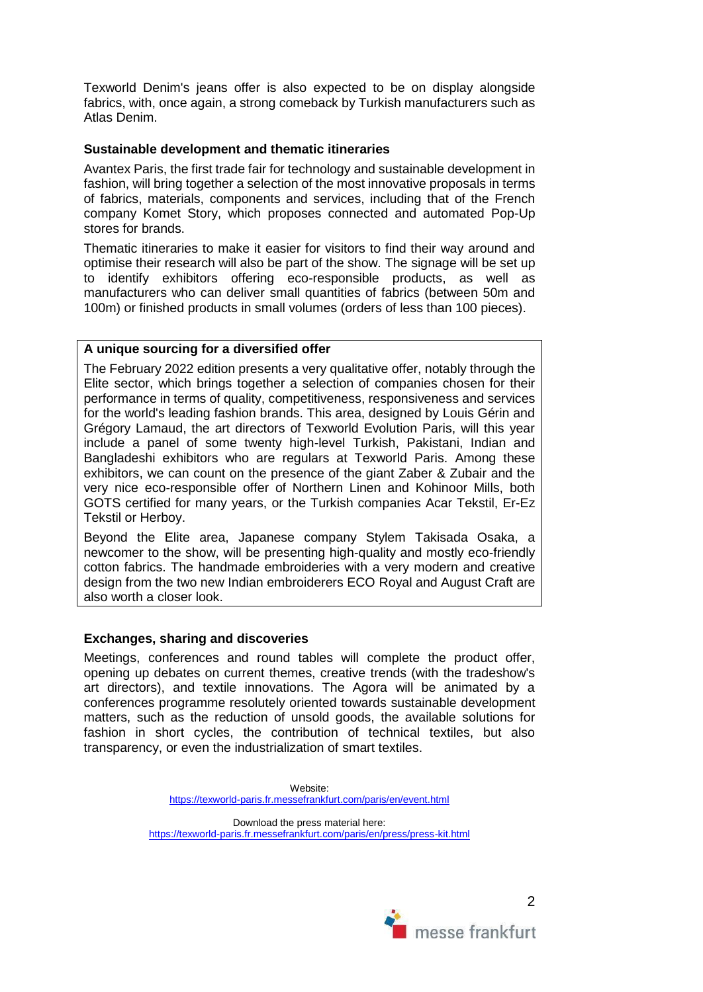Texworld Denim's jeans offer is also expected to be on display alongside fabrics, with, once again, a strong comeback by Turkish manufacturers such as Atlas Denim.

## **Sustainable development and thematic itineraries**

Avantex Paris, the first trade fair for technology and sustainable development in fashion, will bring together a selection of the most innovative proposals in terms of fabrics, materials, components and services, including that of the French company Komet Story, which proposes connected and automated Pop-Up stores for brands.

Thematic itineraries to make it easier for visitors to find their way around and optimise their research will also be part of the show. The signage will be set up to identify exhibitors offering eco-responsible products, as well as manufacturers who can deliver small quantities of fabrics (between 50m and 100m) or finished products in small volumes (orders of less than 100 pieces).

## **A unique sourcing for a diversified offer**

The February 2022 edition presents a very qualitative offer, notably through the Elite sector, which brings together a selection of companies chosen for their performance in terms of quality, competitiveness, responsiveness and services for the world's leading fashion brands. This area, designed by Louis Gérin and Grégory Lamaud, the art directors of Texworld Evolution Paris, will this year include a panel of some twenty high-level Turkish, Pakistani, Indian and Bangladeshi exhibitors who are regulars at Texworld Paris. Among these exhibitors, we can count on the presence of the giant Zaber & Zubair and the very nice eco-responsible offer of Northern Linen and Kohinoor Mills, both GOTS certified for many years, or the Turkish companies Acar Tekstil, Er-Ez Tekstil or Herboy.

Beyond the Elite area, Japanese company Stylem Takisada Osaka, a newcomer to the show, will be presenting high-quality and mostly eco-friendly cotton fabrics. The handmade embroideries with a very modern and creative design from the two new Indian embroiderers ECO Royal and August Craft are also worth a closer look.

## **Exchanges, sharing and discoveries**

Meetings, conferences and round tables will complete the product offer, opening up debates on current themes, creative trends (with the tradeshow's art directors), and textile innovations. The Agora will be animated by a conferences programme resolutely oriented towards sustainable development matters, such as the reduction of unsold goods, the available solutions for fashion in short cycles, the contribution of technical textiles, but also transparency, or even the industrialization of smart textiles.

> Website: <https://texworld-paris.fr.messefrankfurt.com/paris/en/event.html>

Download the press material here: <https://texworld-paris.fr.messefrankfurt.com/paris/en/press/press-kit.html>